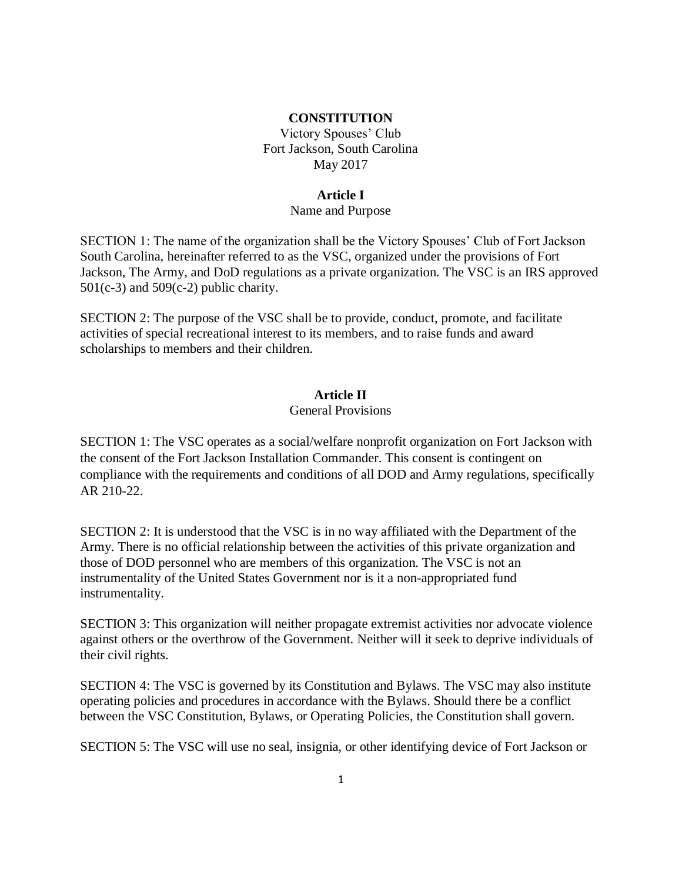#### **CONSTITUTION**

Victory Spouses' Club Fort Jackson, South Carolina May 2017

#### **Article I**

#### Name and Purpose

SECTION 1: The name of the organization shall be the Victory Spouses' Club of Fort Jackson South Carolina, hereinafter referred to as the VSC, organized under the provisions of Fort Jackson, The Army, and DoD regulations as a private organization. The VSC is an IRS approved  $501(c-3)$  and  $509(c-2)$  public charity.

SECTION 2: The purpose of the VSC shall be to provide, conduct, promote, and facilitate activities of special recreational interest to its members, and to raise funds and award scholarships to members and their children.

# **Article II**

## General Provisions

SECTION 1: The VSC operates as a social/welfare nonprofit organization on Fort Jackson with the consent of the Fort Jackson Installation Commander. This consent is contingent on compliance with the requirements and conditions of all DOD and Army regulations, specifically AR 210-22.

SECTION 2: It is understood that the VSC is in no way affiliated with the Department of the Army. There is no official relationship between the activities of this private organization and those of DOD personnel who are members of this organization. The VSC is not an instrumentality of the United States Government nor is it a non-appropriated fund instrumentality.

SECTION 3: This organization will neither propagate extremist activities nor advocate violence against others or the overthrow of the Government. Neither will it seek to deprive individuals of their civil rights.

SECTION 4: The VSC is governed by its Constitution and Bylaws. The VSC may also institute operating policies and procedures in accordance with the Bylaws. Should there be a conflict between the VSC Constitution, Bylaws, or Operating Policies, the Constitution shall govern.

SECTION 5: The VSC will use no seal, insignia, or other identifying device of Fort Jackson or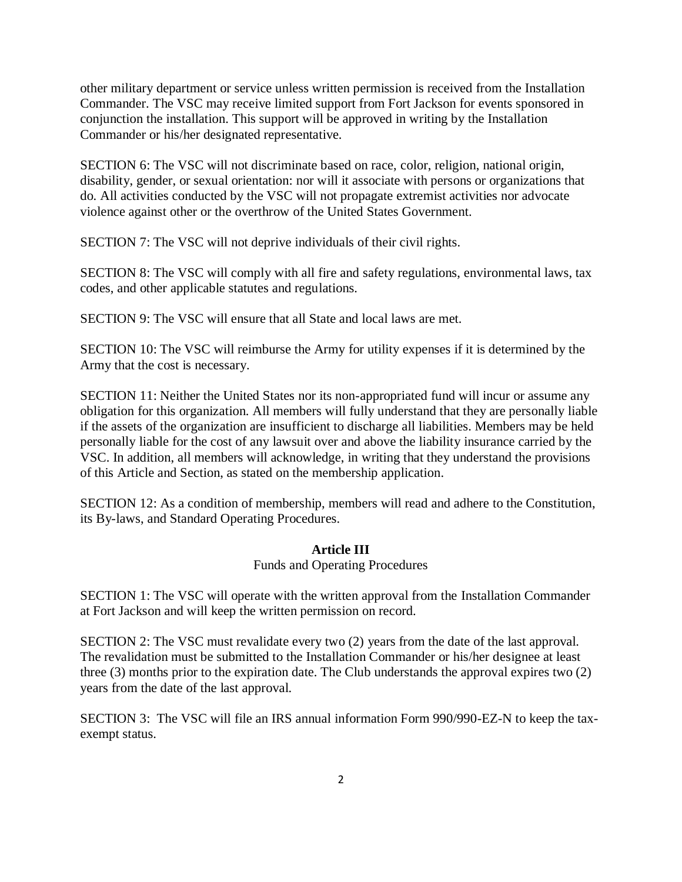other military department or service unless written permission is received from the Installation Commander. The VSC may receive limited support from Fort Jackson for events sponsored in conjunction the installation. This support will be approved in writing by the Installation Commander or his/her designated representative.

SECTION 6: The VSC will not discriminate based on race, color, religion, national origin, disability, gender, or sexual orientation: nor will it associate with persons or organizations that do. All activities conducted by the VSC will not propagate extremist activities nor advocate violence against other or the overthrow of the United States Government.

SECTION 7: The VSC will not deprive individuals of their civil rights.

SECTION 8: The VSC will comply with all fire and safety regulations, environmental laws, tax codes, and other applicable statutes and regulations.

SECTION 9: The VSC will ensure that all State and local laws are met.

SECTION 10: The VSC will reimburse the Army for utility expenses if it is determined by the Army that the cost is necessary.

SECTION 11: Neither the United States nor its non-appropriated fund will incur or assume any obligation for this organization. All members will fully understand that they are personally liable if the assets of the organization are insufficient to discharge all liabilities. Members may be held personally liable for the cost of any lawsuit over and above the liability insurance carried by the VSC. In addition, all members will acknowledge, in writing that they understand the provisions of this Article and Section, as stated on the membership application.

SECTION 12: As a condition of membership, members will read and adhere to the Constitution, its By-laws, and Standard Operating Procedures.

#### **Article III**

Funds and Operating Procedures

SECTION 1: The VSC will operate with the written approval from the Installation Commander at Fort Jackson and will keep the written permission on record.

SECTION 2: The VSC must revalidate every two (2) years from the date of the last approval. The revalidation must be submitted to the Installation Commander or his/her designee at least three (3) months prior to the expiration date. The Club understands the approval expires two (2) years from the date of the last approval.

SECTION 3: The VSC will file an IRS annual information Form 990/990-EZ-N to keep the taxexempt status.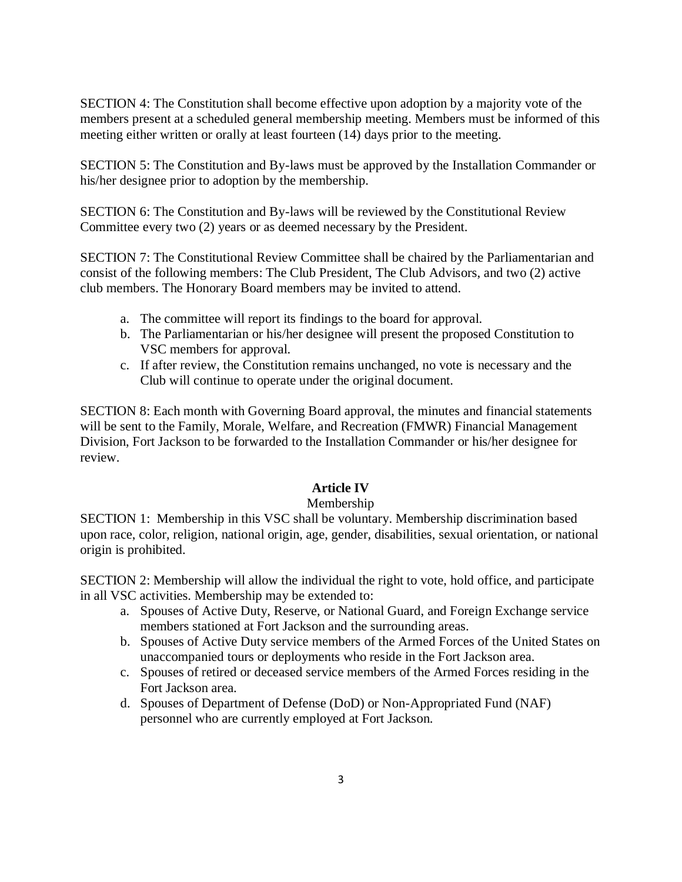SECTION 4: The Constitution shall become effective upon adoption by a majority vote of the members present at a scheduled general membership meeting. Members must be informed of this meeting either written or orally at least fourteen (14) days prior to the meeting.

SECTION 5: The Constitution and By-laws must be approved by the Installation Commander or his/her designee prior to adoption by the membership.

SECTION 6: The Constitution and By-laws will be reviewed by the Constitutional Review Committee every two (2) years or as deemed necessary by the President.

SECTION 7: The Constitutional Review Committee shall be chaired by the Parliamentarian and consist of the following members: The Club President, The Club Advisors, and two (2) active club members. The Honorary Board members may be invited to attend.

- a. The committee will report its findings to the board for approval.
- b. The Parliamentarian or his/her designee will present the proposed Constitution to VSC members for approval.
- c. If after review, the Constitution remains unchanged, no vote is necessary and the Club will continue to operate under the original document.

SECTION 8: Each month with Governing Board approval, the minutes and financial statements will be sent to the Family, Morale, Welfare, and Recreation (FMWR) Financial Management Division, Fort Jackson to be forwarded to the Installation Commander or his/her designee for review.

## **Article IV**

## Membership

SECTION 1: Membership in this VSC shall be voluntary. Membership discrimination based upon race, color, religion, national origin, age, gender, disabilities, sexual orientation, or national origin is prohibited.

SECTION 2: Membership will allow the individual the right to vote, hold office, and participate in all VSC activities. Membership may be extended to:

- a. Spouses of Active Duty, Reserve, or National Guard, and Foreign Exchange service members stationed at Fort Jackson and the surrounding areas.
- b. Spouses of Active Duty service members of the Armed Forces of the United States on unaccompanied tours or deployments who reside in the Fort Jackson area.
- c. Spouses of retired or deceased service members of the Armed Forces residing in the Fort Jackson area.
- d. Spouses of Department of Defense (DoD) or Non-Appropriated Fund (NAF) personnel who are currently employed at Fort Jackson.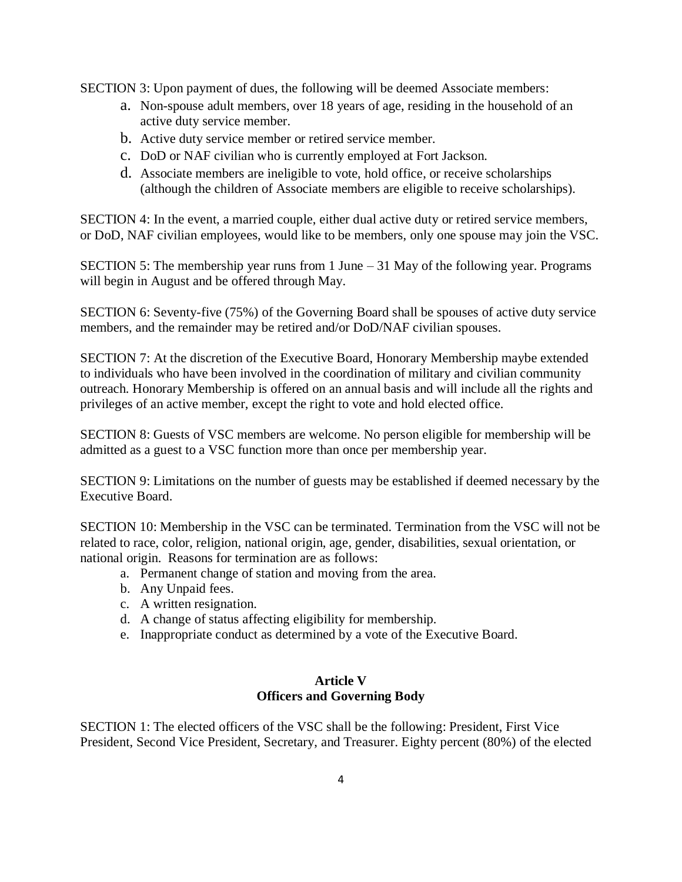SECTION 3: Upon payment of dues, the following will be deemed Associate members:

- a. Non-spouse adult members, over 18 years of age, residing in the household of an active duty service member.
- b. Active duty service member or retired service member.
- c. DoD or NAF civilian who is currently employed at Fort Jackson.
- d. Associate members are ineligible to vote, hold office, or receive scholarships (although the children of Associate members are eligible to receive scholarships).

SECTION 4: In the event, a married couple, either dual active duty or retired service members, or DoD, NAF civilian employees, would like to be members, only one spouse may join the VSC.

SECTION 5: The membership year runs from 1 June – 31 May of the following year. Programs will begin in August and be offered through May.

SECTION 6: Seventy-five (75%) of the Governing Board shall be spouses of active duty service members, and the remainder may be retired and/or DoD/NAF civilian spouses.

SECTION 7: At the discretion of the Executive Board, Honorary Membership maybe extended to individuals who have been involved in the coordination of military and civilian community outreach. Honorary Membership is offered on an annual basis and will include all the rights and privileges of an active member, except the right to vote and hold elected office.

SECTION 8: Guests of VSC members are welcome. No person eligible for membership will be admitted as a guest to a VSC function more than once per membership year.

SECTION 9: Limitations on the number of guests may be established if deemed necessary by the Executive Board.

SECTION 10: Membership in the VSC can be terminated. Termination from the VSC will not be related to race, color, religion, national origin, age, gender, disabilities, sexual orientation, or national origin. Reasons for termination are as follows:

- a. Permanent change of station and moving from the area.
- b. Any Unpaid fees.
- c. A written resignation.
- d. A change of status affecting eligibility for membership.
- e. Inappropriate conduct as determined by a vote of the Executive Board.

## **Article V Officers and Governing Body**

SECTION 1: The elected officers of the VSC shall be the following: President, First Vice President, Second Vice President, Secretary, and Treasurer. Eighty percent (80%) of the elected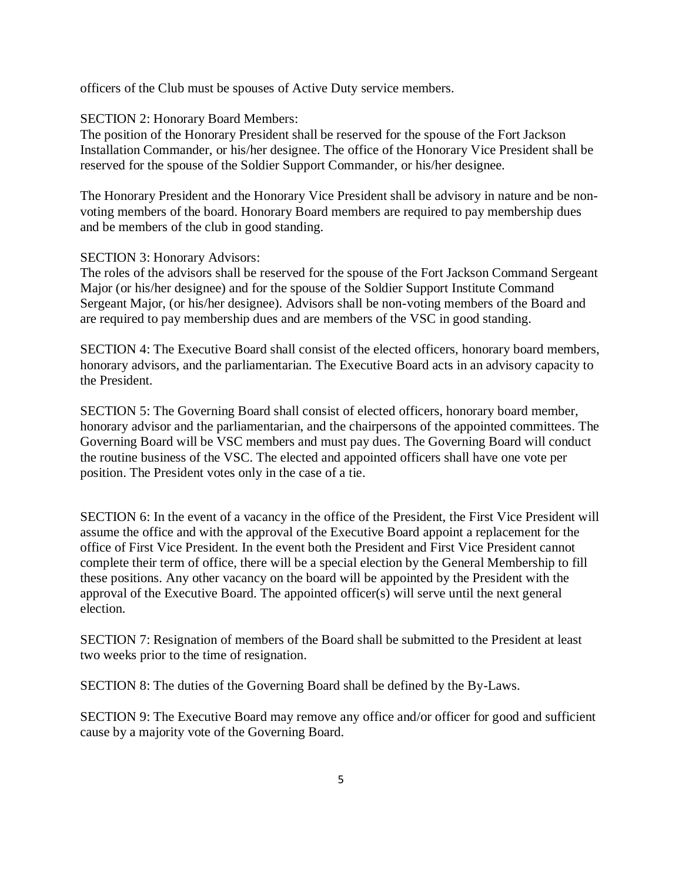officers of the Club must be spouses of Active Duty service members.

#### SECTION 2: Honorary Board Members:

The position of the Honorary President shall be reserved for the spouse of the Fort Jackson Installation Commander, or his/her designee. The office of the Honorary Vice President shall be reserved for the spouse of the Soldier Support Commander, or his/her designee.

The Honorary President and the Honorary Vice President shall be advisory in nature and be nonvoting members of the board. Honorary Board members are required to pay membership dues and be members of the club in good standing.

#### SECTION 3: Honorary Advisors:

The roles of the advisors shall be reserved for the spouse of the Fort Jackson Command Sergeant Major (or his/her designee) and for the spouse of the Soldier Support Institute Command Sergeant Major, (or his/her designee). Advisors shall be non-voting members of the Board and are required to pay membership dues and are members of the VSC in good standing.

SECTION 4: The Executive Board shall consist of the elected officers, honorary board members, honorary advisors, and the parliamentarian. The Executive Board acts in an advisory capacity to the President.

SECTION 5: The Governing Board shall consist of elected officers, honorary board member, honorary advisor and the parliamentarian, and the chairpersons of the appointed committees. The Governing Board will be VSC members and must pay dues. The Governing Board will conduct the routine business of the VSC. The elected and appointed officers shall have one vote per position. The President votes only in the case of a tie.

SECTION 6: In the event of a vacancy in the office of the President, the First Vice President will assume the office and with the approval of the Executive Board appoint a replacement for the office of First Vice President. In the event both the President and First Vice President cannot complete their term of office, there will be a special election by the General Membership to fill these positions. Any other vacancy on the board will be appointed by the President with the approval of the Executive Board. The appointed officer(s) will serve until the next general election.

SECTION 7: Resignation of members of the Board shall be submitted to the President at least two weeks prior to the time of resignation.

SECTION 8: The duties of the Governing Board shall be defined by the By-Laws.

SECTION 9: The Executive Board may remove any office and/or officer for good and sufficient cause by a majority vote of the Governing Board.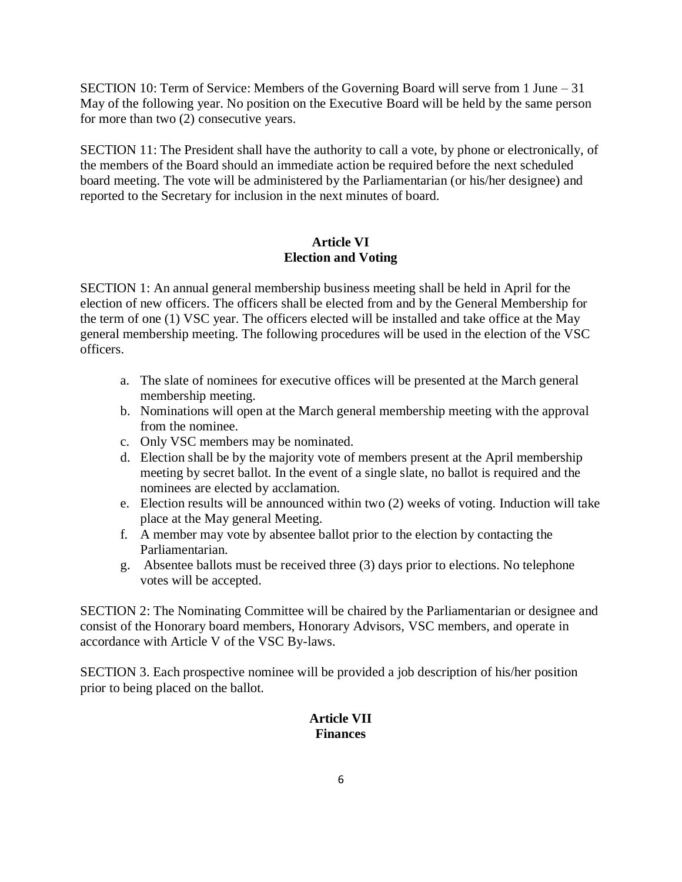SECTION 10: Term of Service: Members of the Governing Board will serve from 1 June – 31 May of the following year. No position on the Executive Board will be held by the same person for more than two (2) consecutive years.

SECTION 11: The President shall have the authority to call a vote, by phone or electronically, of the members of the Board should an immediate action be required before the next scheduled board meeting. The vote will be administered by the Parliamentarian (or his/her designee) and reported to the Secretary for inclusion in the next minutes of board.

## **Article VI Election and Voting**

SECTION 1: An annual general membership business meeting shall be held in April for the election of new officers. The officers shall be elected from and by the General Membership for the term of one (1) VSC year. The officers elected will be installed and take office at the May general membership meeting. The following procedures will be used in the election of the VSC officers.

- a. The slate of nominees for executive offices will be presented at the March general membership meeting.
- b. Nominations will open at the March general membership meeting with the approval from the nominee.
- c. Only VSC members may be nominated.
- d. Election shall be by the majority vote of members present at the April membership meeting by secret ballot. In the event of a single slate, no ballot is required and the nominees are elected by acclamation.
- e. Election results will be announced within two (2) weeks of voting. Induction will take place at the May general Meeting.
- f. A member may vote by absentee ballot prior to the election by contacting the Parliamentarian.
- g. Absentee ballots must be received three (3) days prior to elections. No telephone votes will be accepted.

SECTION 2: The Nominating Committee will be chaired by the Parliamentarian or designee and consist of the Honorary board members, Honorary Advisors, VSC members, and operate in accordance with Article V of the VSC By-laws.

SECTION 3. Each prospective nominee will be provided a job description of his/her position prior to being placed on the ballot.

## **Article VII Finances**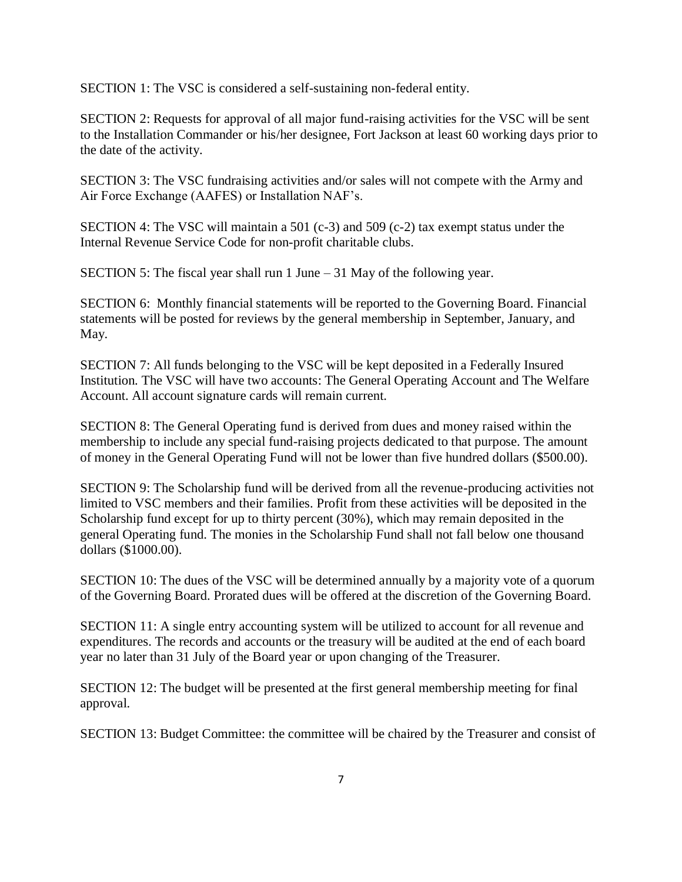SECTION 1: The VSC is considered a self-sustaining non-federal entity.

SECTION 2: Requests for approval of all major fund-raising activities for the VSC will be sent to the Installation Commander or his/her designee, Fort Jackson at least 60 working days prior to the date of the activity.

SECTION 3: The VSC fundraising activities and/or sales will not compete with the Army and Air Force Exchange (AAFES) or Installation NAF's.

SECTION 4: The VSC will maintain a 501 (c-3) and 509 (c-2) tax exempt status under the Internal Revenue Service Code for non-profit charitable clubs.

SECTION 5: The fiscal year shall run 1 June – 31 May of the following year.

SECTION 6: Monthly financial statements will be reported to the Governing Board. Financial statements will be posted for reviews by the general membership in September, January, and May.

SECTION 7: All funds belonging to the VSC will be kept deposited in a Federally Insured Institution. The VSC will have two accounts: The General Operating Account and The Welfare Account. All account signature cards will remain current.

SECTION 8: The General Operating fund is derived from dues and money raised within the membership to include any special fund-raising projects dedicated to that purpose. The amount of money in the General Operating Fund will not be lower than five hundred dollars (\$500.00).

SECTION 9: The Scholarship fund will be derived from all the revenue-producing activities not limited to VSC members and their families. Profit from these activities will be deposited in the Scholarship fund except for up to thirty percent (30%), which may remain deposited in the general Operating fund. The monies in the Scholarship Fund shall not fall below one thousand dollars (\$1000.00).

SECTION 10: The dues of the VSC will be determined annually by a majority vote of a quorum of the Governing Board. Prorated dues will be offered at the discretion of the Governing Board.

SECTION 11: A single entry accounting system will be utilized to account for all revenue and expenditures. The records and accounts or the treasury will be audited at the end of each board year no later than 31 July of the Board year or upon changing of the Treasurer.

SECTION 12: The budget will be presented at the first general membership meeting for final approval.

SECTION 13: Budget Committee: the committee will be chaired by the Treasurer and consist of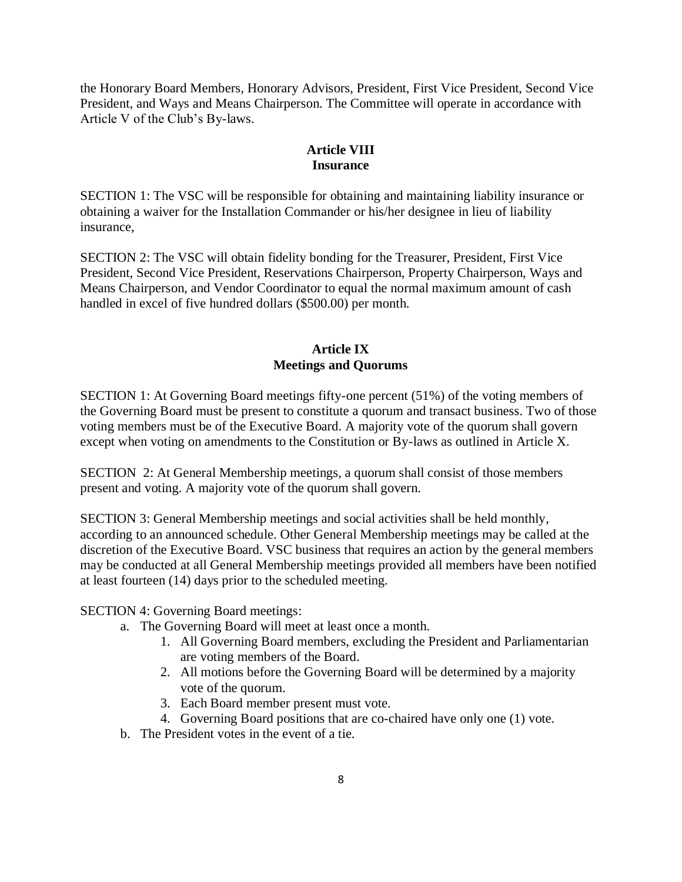the Honorary Board Members, Honorary Advisors, President, First Vice President, Second Vice President, and Ways and Means Chairperson. The Committee will operate in accordance with Article V of the Club's By-laws.

## **Article VIII Insurance**

SECTION 1: The VSC will be responsible for obtaining and maintaining liability insurance or obtaining a waiver for the Installation Commander or his/her designee in lieu of liability insurance,

SECTION 2: The VSC will obtain fidelity bonding for the Treasurer, President, First Vice President, Second Vice President, Reservations Chairperson, Property Chairperson, Ways and Means Chairperson, and Vendor Coordinator to equal the normal maximum amount of cash handled in excel of five hundred dollars (\$500.00) per month.

## **Article IX Meetings and Quorums**

SECTION 1: At Governing Board meetings fifty-one percent (51%) of the voting members of the Governing Board must be present to constitute a quorum and transact business. Two of those voting members must be of the Executive Board. A majority vote of the quorum shall govern except when voting on amendments to the Constitution or By-laws as outlined in Article X.

SECTION 2: At General Membership meetings, a quorum shall consist of those members present and voting. A majority vote of the quorum shall govern.

SECTION 3: General Membership meetings and social activities shall be held monthly, according to an announced schedule. Other General Membership meetings may be called at the discretion of the Executive Board. VSC business that requires an action by the general members may be conducted at all General Membership meetings provided all members have been notified at least fourteen (14) days prior to the scheduled meeting.

SECTION 4: Governing Board meetings:

- a. The Governing Board will meet at least once a month.
	- 1. All Governing Board members, excluding the President and Parliamentarian are voting members of the Board.
	- 2. All motions before the Governing Board will be determined by a majority vote of the quorum.
	- 3. Each Board member present must vote.
	- 4. Governing Board positions that are co-chaired have only one (1) vote.
- b. The President votes in the event of a tie.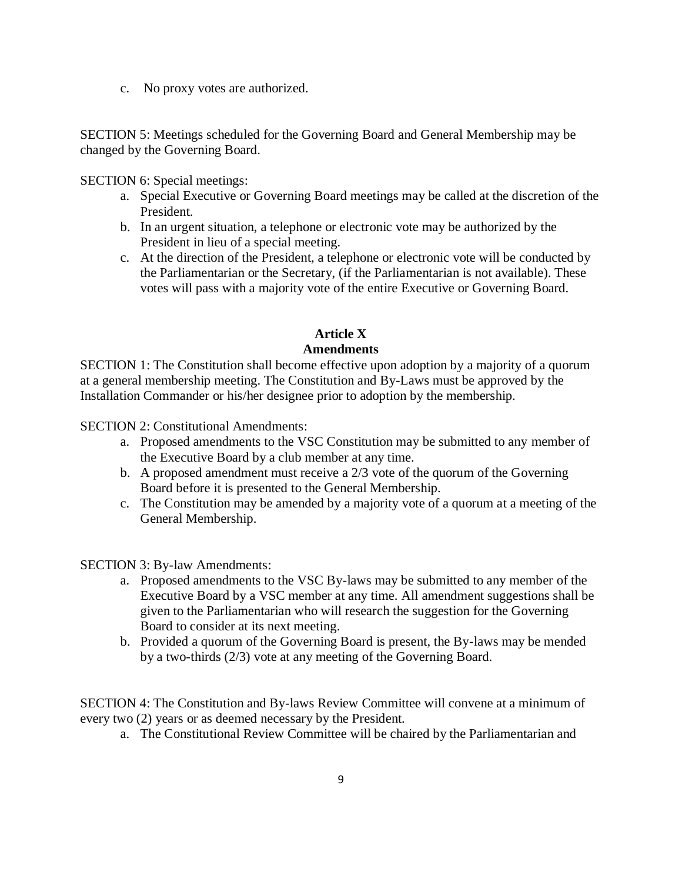c. No proxy votes are authorized.

SECTION 5: Meetings scheduled for the Governing Board and General Membership may be changed by the Governing Board.

SECTION 6: Special meetings:

- a. Special Executive or Governing Board meetings may be called at the discretion of the President.
- b. In an urgent situation, a telephone or electronic vote may be authorized by the President in lieu of a special meeting.
- c. At the direction of the President, a telephone or electronic vote will be conducted by the Parliamentarian or the Secretary, (if the Parliamentarian is not available). These votes will pass with a majority vote of the entire Executive or Governing Board.

# **Article X**

# **Amendments**

SECTION 1: The Constitution shall become effective upon adoption by a majority of a quorum at a general membership meeting. The Constitution and By-Laws must be approved by the Installation Commander or his/her designee prior to adoption by the membership.

SECTION 2: Constitutional Amendments:

- a. Proposed amendments to the VSC Constitution may be submitted to any member of the Executive Board by a club member at any time.
- b. A proposed amendment must receive a 2/3 vote of the quorum of the Governing Board before it is presented to the General Membership.
- c. The Constitution may be amended by a majority vote of a quorum at a meeting of the General Membership.

SECTION 3: By-law Amendments:

- a. Proposed amendments to the VSC By-laws may be submitted to any member of the Executive Board by a VSC member at any time. All amendment suggestions shall be given to the Parliamentarian who will research the suggestion for the Governing Board to consider at its next meeting.
- b. Provided a quorum of the Governing Board is present, the By-laws may be mended by a two-thirds (2/3) vote at any meeting of the Governing Board.

SECTION 4: The Constitution and By-laws Review Committee will convene at a minimum of every two (2) years or as deemed necessary by the President.

a. The Constitutional Review Committee will be chaired by the Parliamentarian and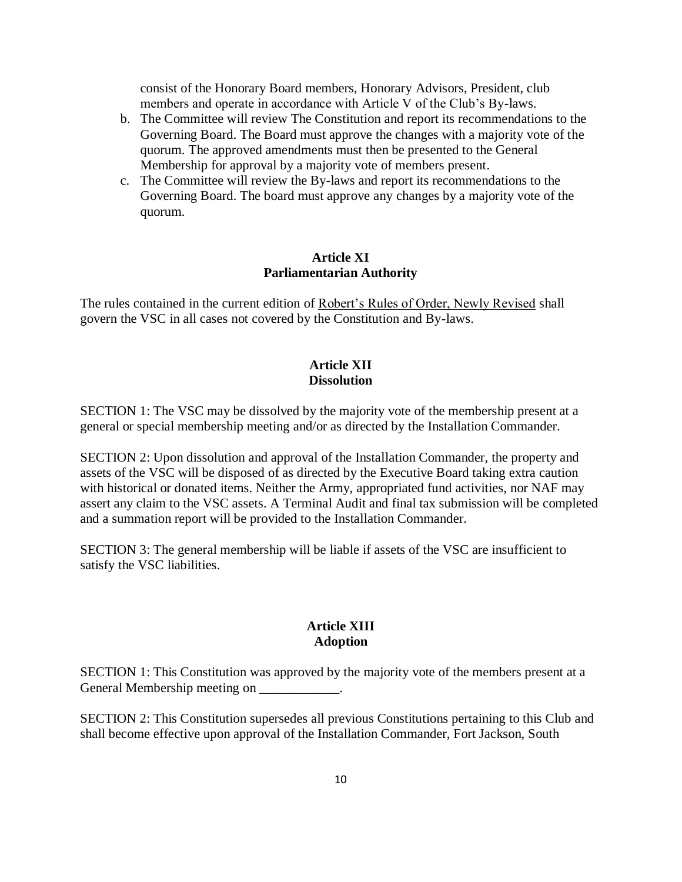consist of the Honorary Board members, Honorary Advisors, President, club members and operate in accordance with Article V of the Club's By-laws.

- b. The Committee will review The Constitution and report its recommendations to the Governing Board. The Board must approve the changes with a majority vote of the quorum. The approved amendments must then be presented to the General Membership for approval by a majority vote of members present.
- c. The Committee will review the By-laws and report its recommendations to the Governing Board. The board must approve any changes by a majority vote of the quorum.

## **Article XI Parliamentarian Authority**

The rules contained in the current edition of Robert's Rules of Order, Newly Revised shall govern the VSC in all cases not covered by the Constitution and By-laws.

## **Article XII Dissolution**

SECTION 1: The VSC may be dissolved by the majority vote of the membership present at a general or special membership meeting and/or as directed by the Installation Commander.

SECTION 2: Upon dissolution and approval of the Installation Commander, the property and assets of the VSC will be disposed of as directed by the Executive Board taking extra caution with historical or donated items. Neither the Army, appropriated fund activities, nor NAF may assert any claim to the VSC assets. A Terminal Audit and final tax submission will be completed and a summation report will be provided to the Installation Commander.

SECTION 3: The general membership will be liable if assets of the VSC are insufficient to satisfy the VSC liabilities.

## **Article XIII Adoption**

SECTION 1: This Constitution was approved by the majority vote of the members present at a General Membership meeting on  $\blacksquare$ .

SECTION 2: This Constitution supersedes all previous Constitutions pertaining to this Club and shall become effective upon approval of the Installation Commander, Fort Jackson, South